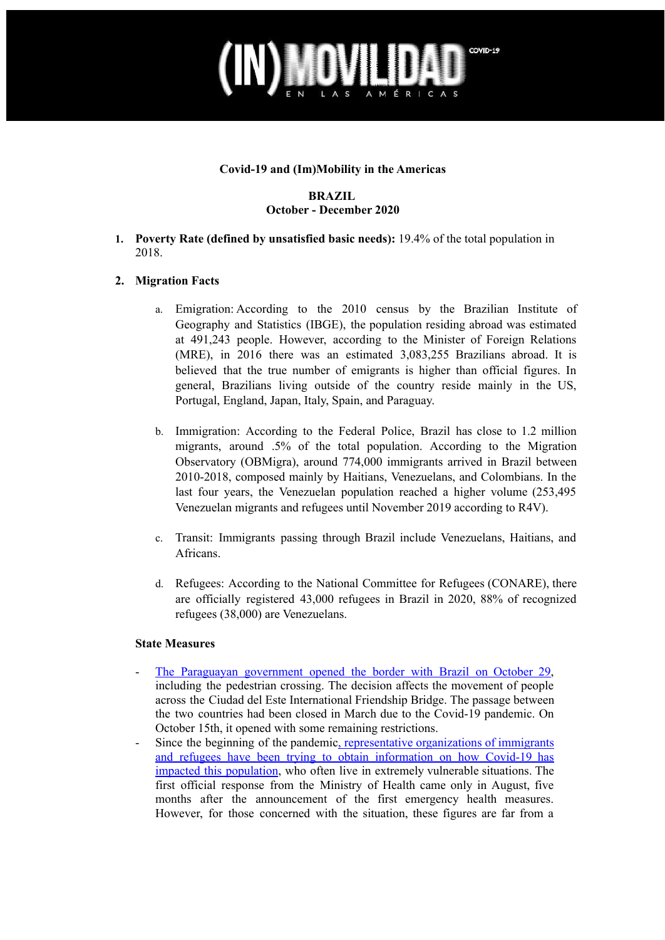## COVID-19 ÉRICA

### **Covid-19 and (Im)Mobility in the Americas**

### **BRAZIL October - December 2020**

**1. Poverty Rate (defined by unsatisfied basic needs):** 19.4% of the total population in 2018.

## **2. Migration Facts**

- a. Emigration: According to the 2010 census by the Brazilian Institute of Geography and Statistics (IBGE), the population residing abroad was estimated at 491,243 people. However, according to the Minister of Foreign Relations (MRE), in 2016 there was an estimated 3,083,255 Brazilians abroad. It is believed that the true number of emigrants is higher than official figures. In general, Brazilians living outside of the country reside mainly in the US, Portugal, England, Japan, Italy, Spain, and Paraguay.
- b. Immigration: According to the Federal Police, Brazil has close to 1.2 million migrants, around .5% of the total population. According to the Migration Observatory (OBMigra), around 774,000 immigrants arrived in Brazil between 2010-2018, composed mainly by Haitians, Venezuelans, and Colombians. In the last four years, the Venezuelan population reached a higher volume (253,495 Venezuelan migrants and refugees until November 2019 according to R4V).
- c. Transit: Immigrants passing through Brazil include Venezuelans, Haitians, and Africans.
- d. Refugees: According to the National Committee for Refugees (CONARE), there are officially registered 43,000 refugees in Brazil in 2020, 88% of recognized refugees (38,000) are Venezuelans.

#### **State Measures**

- The Paraguayan [government](https://noticias.r7.com/internacional/paraguai-retira-restricoes-e-libera-fronteira-com-o-brasil-29102020) opened the border with Brazil on October 29, including the pedestrian crossing. The decision affects the movement of people across the Ciudad del Este International Friendship Bridge. The passage between the two countries had been closed in March due to the Covid-19 pandemic. On October 15th, it opened with some remaining restrictions.
- Since the beginning of the pandemic, [representative](https://www.metropoles.com/brasil/refugiados-e-imigrantes-denunciam-xenofobia-no-sistema-de-saude-durante-pandemia) organizations of immigrants and refugees have been trying to obtain [information](https://www.metropoles.com/brasil/refugiados-e-imigrantes-denunciam-xenofobia-no-sistema-de-saude-durante-pandemia) on how Covid-19 has impacted this [population](https://www.metropoles.com/brasil/refugiados-e-imigrantes-denunciam-xenofobia-no-sistema-de-saude-durante-pandemia), who often live in extremely vulnerable situations. The first official response from the Ministry of Health came only in August, five months after the announcement of the first emergency health measures. However, for those concerned with the situation, these figures are far from a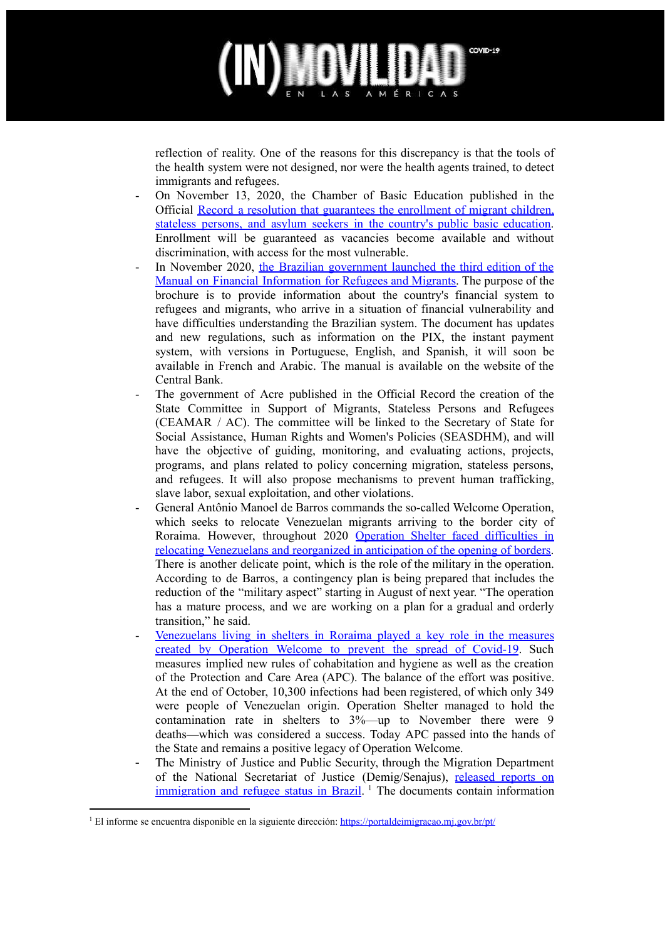# COVID-19 MÉRICAS

reflection of reality. One of the reasons for this discrepancy is that the tools of the health system were not designed, nor were the health agents trained, to detect immigrants and refugees.

- On November 13, 2020, the Chamber of Basic Education published in the Official Record a resolution that guarantees the [enrollment](https://epoca.globo.com/guilherme-amado/resolucao-garante-matriculas-para-migrantes-refugiados-24748921) of migrant children, stateless persons, and asylum seekers in the country's public basic [education.](https://epoca.globo.com/guilherme-amado/resolucao-garante-matriculas-para-migrantes-refugiados-24748921) Enrollment will be guaranteed as vacancies become available and without discrimination, with access for the most vulnerable.
- In November 2020, the Brazilian [government](https://agenciabrasil.ebc.com.br/economia/noticia/2020-11/governo-lanca-nova-cartilha-de-informacoes-financeiras-para-refugiados) launched the third edition of the Manual on Financial [Information](https://agenciabrasil.ebc.com.br/economia/noticia/2020-11/governo-lanca-nova-cartilha-de-informacoes-financeiras-para-refugiados) for Refugees and Migrants. The purpose of the brochure is to provide information about the country's financial system to refugees and migrants, who arrive in a situation of financial vulnerability and have difficulties understanding the Brazilian system. The document has updates and new regulations, such as information on the PIX, the instant payment system, with versions in Portuguese, English, and Spanish, it will soon be available in French and Arabic. The manual is available on the website of the Central Bank.
- The government of Acre published in the Official Record the creation of the State Committee in Support of Migrants, Stateless Persons and Refugees (CEAMAR / AC). The committee will be linked to the Secretary of State for Social Assistance, Human Rights and Women's Policies (SEASDHM), and will have the objective of guiding, monitoring, and evaluating actions, projects, programs, and plans related to policy concerning migration, stateless persons, and refugees. It will also propose mechanisms to prevent human trafficking, slave labor, sexual exploitation, and other violations.
- General Antônio Manoel de Barros commands the so-called Welcome Operation, which seeks to relocate Venezuelan migrants arriving to the border city of Roraima. However, throughout 2020 Operation Shelter faced [difficulties](https://brasil.elpais.com/brasil/2020-12-16/oasis-na-era-bolsonaro-operacao-acolhida-corre-contra-o-relogio-antes-da-reabertura-das-fronteiras.html) in relocating [Venezuelans](https://brasil.elpais.com/brasil/2020-12-16/oasis-na-era-bolsonaro-operacao-acolhida-corre-contra-o-relogio-antes-da-reabertura-das-fronteiras.html) and reorganized in anticipation of the opening of borders. There is another delicate point, which is the role of the military in the operation. According to de Barros, a contingency plan is being prepared that includes the reduction of the "military aspect" starting in August of next year. "The operation has a mature process, and we are working on a plan for a gradual and orderly transition," he said.
- [Venezuelans](https://brasil.elpais.com/brasil/2020-12-15/como-os-venezuelanos-ajudaram-a-controlar-a-primeira-onda-da-covid-19-em-roraima.html) living in shelters in Roraima played a key role in the measures created by [Operation](https://brasil.elpais.com/brasil/2020-12-15/como-os-venezuelanos-ajudaram-a-controlar-a-primeira-onda-da-covid-19-em-roraima.html) Welcome to prevent the spread of Covid-19. Such measures implied new rules of cohabitation and hygiene as well as the creation of the Protection and Care Area (APC). The balance of the effort was positive. At the end of October, 10,300 infections had been registered, of which only 349 were people of Venezuelan origin. Operation Shelter managed to hold the contamination rate in shelters to 3%—up to November there were 9 deaths—which was considered a success. Today APC passed into the hands of the State and remains a positive legacy of Operation Welcome.
- The Ministry of Justice and Public Security, through the Migration Department of the National Secretariat of Justice (Demig/Senajus), [released](https://www.gov.br/casacivil/pt-br/assuntos/noticias/2020/dezembro/lancado-relatorios-sobre-imigracao-e-refugio-no-brasil) reports on [immigration](https://www.gov.br/casacivil/pt-br/assuntos/noticias/2020/dezembro/lancado-relatorios-sobre-imigracao-e-refugio-no-brasil) and refugee status in Brazil.<sup>1</sup> The documents contain information

<sup>&</sup>lt;sup>1</sup> El informe se encuentra disponible en la siguiente dirección: <https://portaldeimigracao.mj.gov.br/pt/>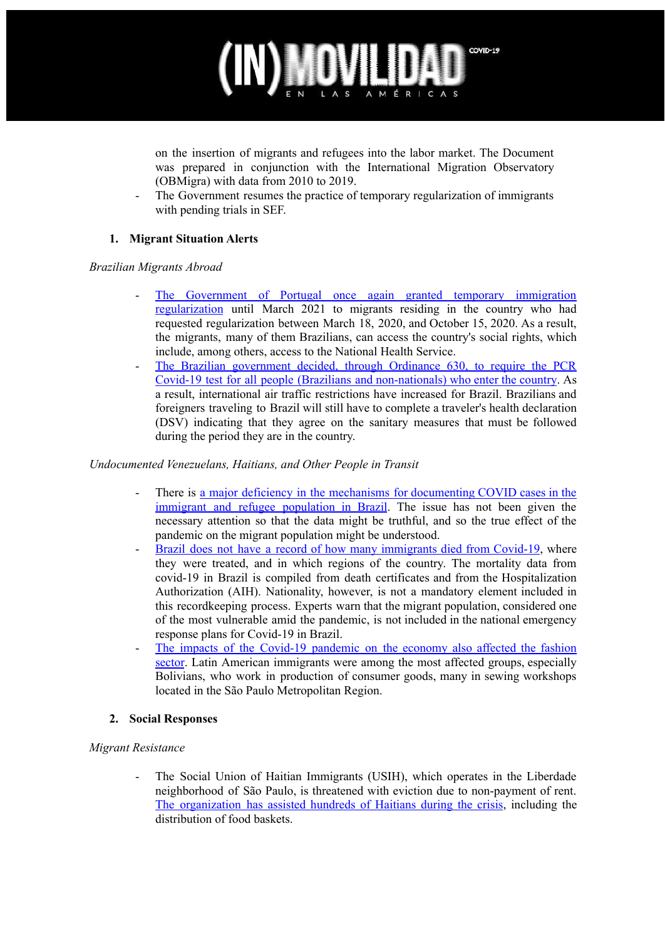

on the insertion of migrants and refugees into the labor market. The Document was prepared in conjunction with the International Migration Observatory (OBMigra) with data from 2010 to 2019.

- The Government resumes the practice of temporary regularization of immigrants with pending trials in SEF.

## **1. Migrant Situation Alerts**

### *Brazilian Migrants Abroad*

- The [Government](https://www.publico.pt/2020/11/08/sociedade/noticia/governo-volta-regularizar-temporariamente-imigrantes-processos-pendentes-sef-1938419) of Portugal once again granted temporary immigration [regularization](https://www.publico.pt/2020/11/08/sociedade/noticia/governo-volta-regularizar-temporariamente-imigrantes-processos-pendentes-sef-1938419) until March 2021 to migrants residing in the country who had requested regularization between March 18, 2020, and October 15, 2020. As a result, the migrants, many of them Brazilians, can access the country's social rights, which include, among others, access to the National Health Service.
- The Brazilian government decided, through Ordinance 630, to require the PCR Covid-19 test for all people (Brazilians and non-nationals) who enter the country. As a result, international air traffic restrictions have increased for Brazil. Brazilians and foreigners traveling to Brazil will still have to complete a traveler's health declaration (DSV) indicating that they agree on the sanitary measures that must be followed during the period they are in the country.

#### *Undocumented Venezuelans, Haitians, and Other People in Transit*

- There is a major deficiency in the mechanisms for documenting COVID cases in the immigrant and refugee population in Brazil. The issue has not been given the necessary attention so that the data might be truthful, and so the true effect of the pandemic on the migrant population might be understood.
- Brazil does not have a record of how many [immigrants](https://www.brasildefato.com.br/2020/10/17/invisiveis-em-vida-e-em-morte-pais-nao-sabe-quantos-imigrantes-morreram-por-covid) died from Covid-19, where they were treated, and in which regions of the country. The mortality data from covid-19 in Brazil is compiled from death certificates and from the Hospitalization Authorization (AIH). Nationality, however, is not a mandatory element included in this recordkeeping process. Experts warn that the migrant population, considered one of the most vulnerable amid the pandemic, is not included in the national emergency response plans for Covid-19 in Brazil.
- The impacts of the Covid-19 [pandemic](https://agenciabrasil.ebc.com.br/economia/noticia/2020-12/imigrantes-em-oficinas-de-costura-de-sp-perderam-renda-com-pandemia) on the economy also affected the fashion [sector](https://agenciabrasil.ebc.com.br/economia/noticia/2020-12/imigrantes-em-oficinas-de-costura-de-sp-perderam-renda-com-pandemia). Latin American immigrants were among the most affected groups, especially Bolivians, who work in production of consumer goods, many in sewing workshops located in the São Paulo Metropolitan Region.

## **2. Social Responses**

## *Migrant Resistance*

The Social Union of Haitian Immigrants (USIH), which operates in the Liberdade neighborhood of São Paulo, is threatened with eviction due to non-payment of rent. The [organization](https://www.brasildefato.com.br/2020/12/15/ameacada-de-despejo-uniao-dos-haitianos-pode-interromper-auxilio-a-imigrantes-em-sp) has assisted hundreds of Haitians during the crisis, including the distribution of food baskets.